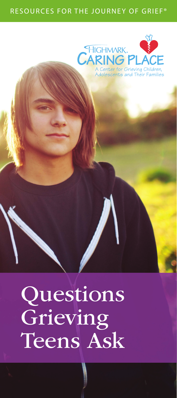#### RESOURCES FOR THE JOURNEY OF GRIEF®



# Questions **Grieving** Teens Ask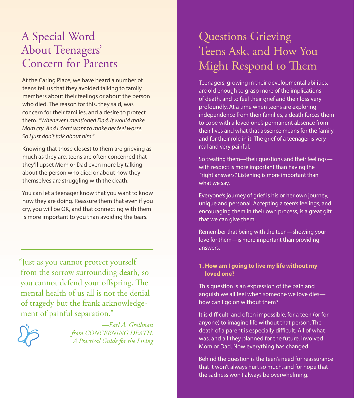# A Special Word About Teenagers' Concern for Parents

At the Caring Place, we have heard a number of teens tell us that they avoided talking to family members about their feelings or about the person who died. The reason for this, they said, was concern for their families, and a desire to protect them. *"Whenever I mentioned Dad, it would make Mom cry. And I don't want to make her feel worse. So I just don't talk about him."*

Knowing that those closest to them are grieving as much as they are, teens are often concerned that they'll upset Mom or Dad even more by talking about the person who died or about how they themselves are struggling with the death.

You can let a teenager know that you want to know how they are doing. Reassure them that even if you cry, you will be OK, and that connecting with them is more important to you than avoiding the tears.

"Just as you cannot protect yourself from the sorrow surrounding death, so you cannot defend your offspring. The mental health of us all is not the denial of tragedy but the frank acknowledgement of painful separation."



*—Earl A. Grollman from CONCERNING DEATH: A Practical Guide for the Living*

# Questions Grieving Teens Ask, and How You Might Respond to Them

Teenagers, growing in their developmental abilities, are old enough to grasp more of the implications of death, and to feel their grief and their loss very profoundly. At a time when teens are exploring independence from their families, a death forces them to cope with a loved one's permanent absence from their lives and what that absence means for the family and for their role in it. The grief of a teenager is very real and very painful.

So treating them—their questions and their feelings with respect is more important than having the "right answers." Listening is more important than what we say.

Everyone's journey of grief is his or her own journey, unique and personal. Accepting a teen's feelings, and encouraging them in their own process, is a great gift that we can give them.

Remember that being with the teen—showing your love for them—is more important than providing answers.

#### **1. How am I going to live my life without my loved one?**

This question is an expression of the pain and anguish we all feel when someone we love dies how can I go on without them?

It is difficult, and often impossible, for a teen (or for anyone) to imagine life without that person. The death of a parent is especially difficult. All of what was, and all they planned for the future, involved Mom or Dad. Now everything has changed.

Behind the question is the teen's need for reassurance that it won't always hurt so much, and for hope that the sadness won't always be overwhelming.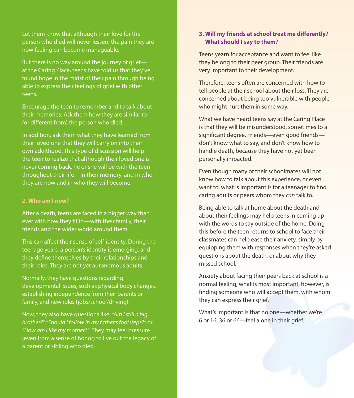Let them know that although their love for the person who died will never lessen, the pain they are now feeling can become manageable.

But there is no way around the journey of grief at the Caring Place, teens have told us that they've found hope in the midst of their pain through being able to express their feelings of grief with other teens.

Encourage the teen to remember and to talk about their memories. Ask them how they are similar to (or different from) the person who died.

In addition, ask them what they have learned from their loved one that they will carry on into their own adulthood. This type of discussion will help the teen to realize that although their loved one is never coming back, he or she will be with the teen throughout their life—in their memory, and in who they are now and in who they will become.

#### **2. Who am I now?**

After a death, teens are faced in a bigger way than ever with how they fit in—with their family, their friends and the wider world around them.

This can affect their sense of self-identity. During the teenage years, a person's identity is emerging, and they define themselves by their relationships and their roles. They are not yet autonomous adults.

Normally, they have questions regarding developmental issues, such as physical body changes, establishing independence from their parents or family, and new roles (jobs/school/driving).

Now, they also have questions like: *"Am I still a big brother?" "Should I follow in my father's footsteps?"* or *"How am I like my mother?"* They may feel pressure (even from a sense of honor) to live out the legacy of a parent or sibling who died.

#### **3. Will my friends at school treat me differently? What should I say to them?**

Teens yearn for acceptance and want to feel like they belong to their peer group. Their friends are very important to their development.

Therefore, teens often are concerned with how to tell people at their school about their loss. They are concerned about being too vulnerable with people who might hurt them in some way.

What we have heard teens say at the Caring Place is that they will be misunderstood, sometimes to a significant degree. Friends—even good friends don't know what to say, and don't know how to handle death, because they have not yet been personally impacted.

Even though many of their schoolmates will not know how to talk about this experience, or even want to, what is important is for a teenager to find caring adults or peers whom they *can* talk to.

Being able to talk at home about the death and about their feelings may help teens in coming up with the words to say outside of the home. Doing this before the teen returns to school to face their classmates can help ease their anxiety, simply by equipping them with responses when they're asked questions about the death, or about why they missed school.

Anxiety about facing their peers back at school is a normal feeling; what is most important, however, is finding someone who will accept them, with whom they can express their grief.

What's important is that no one—whether we're 6 or 16, 36 or 66—feel alone in their grief.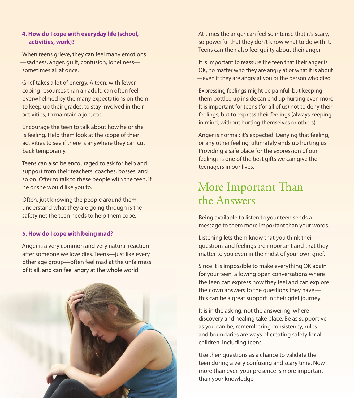#### **4. How do I cope with everyday life (school, activities, work)?**

When teens grieve, they can feel many emotions —sadness, anger, guilt, confusion, loneliness sometimes all at once.

Grief takes a lot of energy. A teen, with fewer coping resources than an adult, can often feel overwhelmed by the many expectations on them to keep up their grades, to stay involved in their activities, to maintain a job, etc.

Encourage the teen to talk about how he or she is feeling. Help them look at the scope of their activities to see if there is anywhere they can cut back temporarily.

Teens can also be encouraged to ask for help and support from their teachers, coaches, bosses, and so on. Offer to talk to these people with the teen, if he or she would like you to.

Often, just knowing the people around them understand what they are going through is the safety net the teen needs to help them cope.

#### **5. How do I cope with being mad?**

Anger is a very common and very natural reaction after someone we love dies. Teens—just like every other age group—often feel mad at the unfairness of it all, and can feel angry at the whole world.



At times the anger can feel so intense that it's scary, so powerful that they don't know what to do with it. Teens can then also feel guilty about their anger.

It is important to reassure the teen that their anger is OK, no matter who they are angry at or what it is about —even if they are angry at you or the person who died.

Expressing feelings might be painful, but keeping them bottled up inside can end up hurting even more. It is important for teens (for all of us) not to deny their feelings, but to express their feelings (always keeping in mind, without hurting themselves or others).

Anger is normal; it's expected. Denying that feeling, or any other feeling, ultimately ends up hurting us. Providing a safe place for the expression of our feelings is one of the best gifts we can give the teenagers in our lives.

## More Important Than the Answers

Being available to listen to your teen sends a message to them more important than your words.

Listening lets them know that you think their questions and feelings are important and that they matter to you even in the midst of your own grief.

Since it is impossible to make everything OK again for your teen, allowing open conversations where the teen can express how they feel and can explore their own answers to the questions they have this can be a great support in their grief journey.

It is in the asking, not the answering, where discovery and healing take place. Be as supportive as you can be, remembering consistency, rules and boundaries are ways of creating safety for all children, including teens.

Use their questions as a chance to validate the teen during a very confusing and scary time. Now more than ever, your presence is more important than your knowledge.